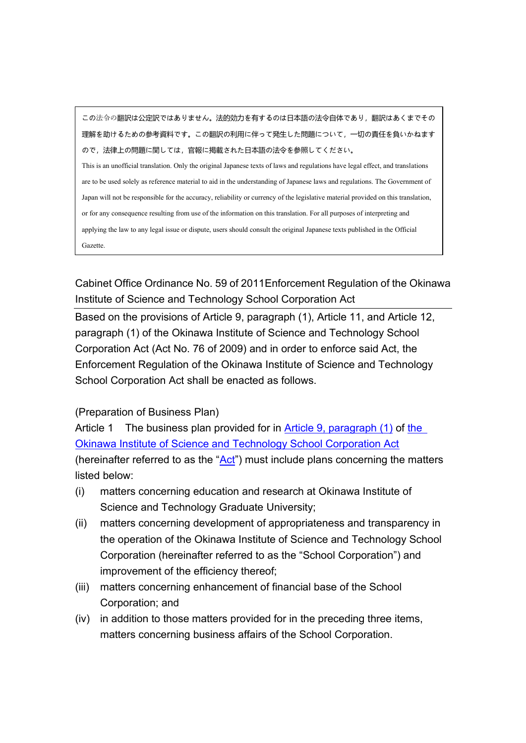この法令の翻訳は公定訳ではありません。法的効力を有するのは日本語の法令自体であり,翻訳はあくまでその 理解を助けるための参考資料です。この翻訳の利用に伴って発生した問題について,一切の責任を負いかねます ので,法律上の問題に関しては,官報に掲載された日本語の法令を参照してください。 This is an unofficial translation. Only the original Japanese texts of laws and regulations have legal effect, and translations are to be used solely as reference material to aid in the understanding of Japanese laws and regulations. The Government of Japan will not be responsible for the accuracy, reliability or currency of the legislative material provided on this translation, or for any consequence resulting from use of the information on this translation. For all purposes of interpreting and applying the law to any legal issue or dispute, users should consult the original Japanese texts published in the Official Gazette.

# Cabinet Office Ordinance No. 59 of 2011Enforcement Regulation of the Okinawa Institute of Science and Technology School Corporation Act

Based on the provisions of Article 9, paragraph (1), Article 11, and Article 12, paragraph (1) of the Okinawa Institute of Science and Technology School Corporation Act (Act No. 76 of 2009) and in order to enforce said Act, the Enforcement Regulation of the Okinawa Institute of Science and Technology School Corporation Act shall be enacted as follows.

#### (Preparation of Business Plan)

Article 1 The business plan provided for in [Article 9, paragraph \(1\)](https://elaws.e-gov.go.jp/search/elawsSearch/elaws_search/lsg0500/421AC0000000076_20200401_501AC0000000011#45) of the [Okinawa Institute of Science and Technology School Corporation Act](https://elaws.e-gov.go.jp/search/elawsSearch/elaws_search/lsg0500/421AC0000000076_20200401_501AC0000000011) (hereinafter referred to as the " $Act$ ") must include plans concerning the matters listed below:

- (i) matters concerning education and research at Okinawa Institute of Science and Technology Graduate University;
- (ii) matters concerning development of appropriateness and transparency in the operation of the Okinawa Institute of Science and Technology School Corporation (hereinafter referred to as the "School Corporation") and improvement of the efficiency thereof;
- (iii) matters concerning enhancement of financial base of the School Corporation; and
- (iv) in addition to those matters provided for in the preceding three items, matters concerning business affairs of the School Corporation.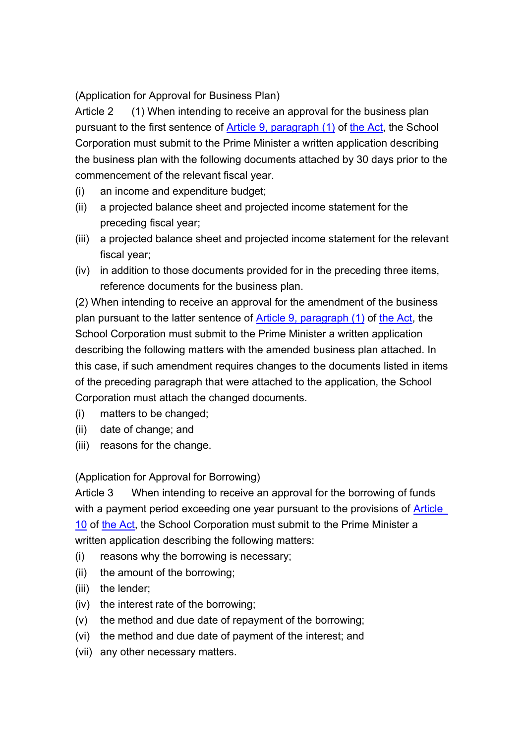(Application for Approval for Business Plan)

Article 2 (1) When intending to receive an approval for the business plan pursuant to the first sentence of [Article 9, paragraph \(1\)](https://elaws.e-gov.go.jp/search/elawsSearch/elaws_search/lsg0500/421AC0000000076_20200401_501AC0000000011#45) of [the Act,](https://elaws.e-gov.go.jp/search/elawsSearch/elaws_search/lsg0500/421AC0000000076_20200401_501AC0000000011) the School Corporation must submit to the Prime Minister a written application describing the business plan with the following documents attached by 30 days prior to the commencement of the relevant fiscal year.

- (i) an income and expenditure budget;
- (ii) a projected balance sheet and projected income statement for the preceding fiscal year;
- (iii) a projected balance sheet and projected income statement for the relevant fiscal year;
- (iv) in addition to those documents provided for in the preceding three items, reference documents for the business plan.

(2) When intending to receive an approval for the amendment of the business plan pursuant to the latter sentence of [Article 9, paragraph \(1\)](https://elaws.e-gov.go.jp/search/elawsSearch/elaws_search/lsg0500/421AC0000000076_20200401_501AC0000000011#45) of [the Act,](https://elaws.e-gov.go.jp/search/elawsSearch/elaws_search/lsg0500/421AC0000000076_20200401_501AC0000000011) the School Corporation must submit to the Prime Minister a written application describing the following matters with the amended business plan attached. In this case, if such amendment requires changes to the documents listed in items of the preceding paragraph that were attached to the application, the School Corporation must attach the changed documents.

- (i) matters to be changed;
- (ii) date of change; and
- (iii) reasons for the change.

#### (Application for Approval for Borrowing)

Article 3 When intending to receive an approval for the borrowing of funds with a payment period exceeding one year pursuant to the provisions of Article [10](https://elaws.e-gov.go.jp/search/elawsSearch/elaws_search/lsg0500/421AC0000000076_20200401_501AC0000000011#47) of [the Act,](https://elaws.e-gov.go.jp/search/elawsSearch/elaws_search/lsg0500/421AC0000000076_20200401_501AC0000000011) the School Corporation must submit to the Prime Minister a written application describing the following matters:

- (i) reasons why the borrowing is necessary;
- (ii) the amount of the borrowing;
- (iii) the lender;
- (iv) the interest rate of the borrowing;
- (v) the method and due date of repayment of the borrowing;
- (vi) the method and due date of payment of the interest; and
- (vii) any other necessary matters.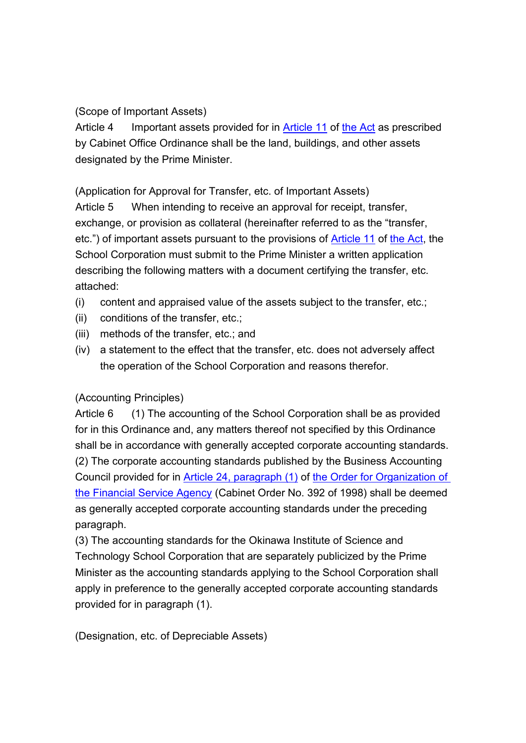### (Scope of Important Assets)

Article 4 Important assets provided for in [Article 11](https://elaws.e-gov.go.jp/search/elawsSearch/elaws_search/lsg0500/421AC0000000076_20200401_501AC0000000011#50) of [the Act](https://elaws.e-gov.go.jp/search/elawsSearch/elaws_search/lsg0500/421AC0000000076_20200401_501AC0000000011) as prescribed by Cabinet Office Ordinance shall be the land, buildings, and other assets designated by the Prime Minister.

(Application for Approval for Transfer, etc. of Important Assets)

Article 5 When intending to receive an approval for receipt, transfer, exchange, or provision as collateral (hereinafter referred to as the "transfer, etc.") of important assets pursuant to the provisions of [Article 11](https://elaws.e-gov.go.jp/search/elawsSearch/elaws_search/lsg0500/421AC0000000076_20200401_501AC0000000011#50) of [the Act,](https://elaws.e-gov.go.jp/search/elawsSearch/elaws_search/lsg0500/421AC0000000076_20200401_501AC0000000011) the School Corporation must submit to the Prime Minister a written application describing the following matters with a document certifying the transfer, etc. attached:

- (i) content and appraised value of the assets subject to the transfer, etc.;
- (ii) conditions of the transfer, etc.;
- (iii) methods of the transfer, etc.; and
- (iv) a statement to the effect that the transfer, etc. does not adversely affect the operation of the School Corporation and reasons therefor.

## (Accounting Principles)

Article 6 (1) The accounting of the School Corporation shall be as provided for in this Ordinance and, any matters thereof not specified by this Ordinance shall be in accordance with generally accepted corporate accounting standards. (2) The corporate accounting standards published by the Business Accounting Council provided for in [Article 24, paragraph \(1\)](https://elaws.e-gov.go.jp/search/elawsSearch/elaws_search/lsg0500/410CO0000000392_20190716_501CO0000000058#312) of [the Order for Organization of](https://elaws.e-gov.go.jp/search/elawsSearch/elaws_search/lsg0500/410CO0000000392_20190716_501CO0000000058)  [the Financial Service Agency](https://elaws.e-gov.go.jp/search/elawsSearch/elaws_search/lsg0500/410CO0000000392_20190716_501CO0000000058) (Cabinet Order No. 392 of 1998) shall be deemed as generally accepted corporate accounting standards under the preceding paragraph.

(3) The accounting standards for the Okinawa Institute of Science and Technology School Corporation that are separately publicized by the Prime Minister as the accounting standards applying to the School Corporation shall apply in preference to the generally accepted corporate accounting standards provided for in paragraph (1).

(Designation, etc. of Depreciable Assets)